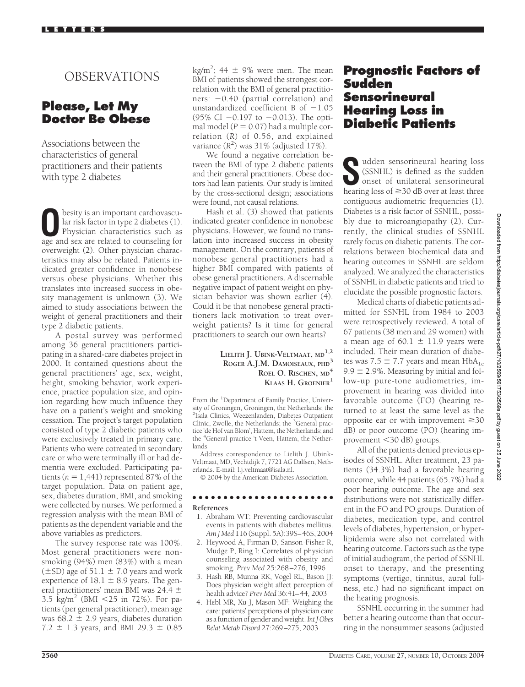# OBSERVATIONS

# **Please, Let My Doctor Be Obese**

Associations between the characteristics of general practitioners and their patients with type 2 diabetes

**O**besity is an important cardiovascular risk factor in type 2 diabetes (1).<br>Physician characteristics such as age and sex are related to counseling for lar risk factor in type 2 diabetes (1). Physician characteristics such as age and sex are related to counseling for overweight (2). Other physician characteristics may also be related. Patients indicated greater confidence in nonobese versus obese physicians. Whether this translates into increased success in obesity management is unknown (3). We aimed to study associations between the weight of general practitioners and their type 2 diabetic patients.

A postal survey was performed among 36 general practitioners participating in a shared-care diabetes project in 2000. It contained questions about the general practitioners' age, sex, weight, height, smoking behavior, work experience, practice population size, and opinion regarding how much influence they have on a patient's weight and smoking cessation. The project's target population consisted of type 2 diabetic patients who were exclusively treated in primary care. Patients who were cotreated in secondary care or who were terminally ill or had dementia were excluded. Participating patients ( $n = 1,441$ ) represented  $87\%$  of the target population. Data on patient age, sex, diabetes duration, BMI, and smoking were collected by nurses. We performed a regression analysis with the mean BMI of patients as the dependent variable and the above variables as predictors.

The survey response rate was 100%. Most general practitioners were nonsmoking (94%) men (83%) with a mean  $(\pm SD)$  age of 51.1  $\pm$  7.0 years and work experience of  $18.1 \pm 8.9$  years. The general practitioners' mean BMI was  $24.4 \pm$ 3.5 kg/m<sup>2</sup> (BMI  $\lt 25$  in 72%). For patients (per general practitioner), mean age was  $68.2 \pm 2.9$  years, diabetes duration 7.2  $\pm$  1.3 years, and BMI 29.3  $\pm$  0.85

kg/m<sup>2</sup>; 44  $\pm$  9% were men. The mean BMI of patients showed the strongest correlation with the BMI of general practitioners:  $-0.40$  (partial correlation) and unstandardized coefficient B of  $-1.05$ (95% CI  $-0.197$  to  $-0.013$ ). The optimal model ( $P = 0.07$ ) had a multiple correlation (*R*) of 0.56, and explained variance (R<sup>2</sup>) was 31% (adjusted 17%).

We found a negative correlation between the BMI of type 2 diabetic patients and their general practitioners. Obese doctors had lean patients. Our study is limited by the cross-sectional design; associations were found, not causal relations.

Hash et al. (3) showed that patients indicated greater confidence in nonobese physicians. However, we found no translation into increased success in obesity management. On the contrary, patients of nonobese general practitioners had a higher BMI compared with patients of obese general practitioners. A discernable negative impact of patient weight on physician behavior was shown earlier (4). Could it be that nonobese general practitioners lack motivation to treat overweight patients? Is it time for general practitioners to search our own hearts?

#### **LIELITH J. UBINK-VELTMAAT, MD1,2 ROGER A.J.M. DAMOISEAUX, PHD<sup>3</sup> ROEL O. RISCHEN, MD<sup>4</sup> KLAAS H. GROENIER**<sup>1</sup>

From the <sup>1</sup>Department of Family Practice, University of Groningen, Groningen, the Netherlands; the 2 Isala Clinics, Weezenlanden, Diabetes Outpatient Clinic, Zwolle, the Netherlands; the <sup>3</sup>General practice 'de Hof van Blom', Hattem, the Netherlands; and the <sup>4</sup>General practice 't Veen, Hattem, the Netherlands.

Address correspondence to Lielith J. Ubink-Veltmaat, MD, Vechtdijk 7, 7721 AG Dalfsen, Netherlands. E-mail: l.j.veltmaat@isala.nl.

© 2004 by the American Diabetes Association.

### ●●●●●●●●●●●●●●●●●●●●●●●

### **References**

- 1. Abraham WT: Preventing cardiovascular events in patients with diabetes mellitus. *Am J Med* 116 (Suppl. 5A):39S–46S, 2004
- 2. Heywood A, Firman D, Sanson-Fisher R, Mudge P, Ring I: Correlates of physician counseling associated with obesity and smoking. *Prev Med* 25:268–276, 1996
- 3. Hash RB, Munna RK, Vogel RL, Bason JJ: Does physician weight affect perception of health advice? *Prev Med* 36:41–44, 2003
- 4. Hebl MR, Xu J, Mason MF: Weighing the care: patients' perceptions of physician care as a function of gender and weight.*Int J Obes Relat Metab Disord* 27:269–275, 2003

# **Prognostic Factors of Sudden Sensorineural Hearing Loss in Diabetic Patients**

**S**udden sensorineural hearing loss (SSNHL) is defined as the sudden onset of unilateral sensorineural hearing loss of  $\geq$  30 dB over at least three contiguous audiometric frequencies (1). Diabetes is a risk factor of SSNHL, possibly due to microangiopathy (2). Currently, the clinical studies of SSNHL rarely focus on diabetic patients. The correlations between biochemical data and hearing outcomes in SSNHL are seldom analyzed. We analyzed the characteristics of SSNHL in diabetic patients and tried to elucidate the possible prognostic factors.

Medical charts of diabetic patients admitted for SSNHL from 1984 to 2003 were retrospectively reviewed. A total of 67 patients (38 men and 29 women) with a mean age of  $60.1 \pm 11.9$  years were included. Their mean duration of diabetes was 7.5  $\pm$  7.7 years and mean  $HbA_{1c}$  $9.9 \pm 2.9\%$ . Measuring by initial and follow-up pure-tone audiometries, improvement in hearing was divided into favorable outcome (FO) (hearing returned to at least the same level as the opposite ear or with improvement  $\geq 30$ dB) or poor outcome (PO) (hearing improvement 30 dB) groups.

All of the patients denied previous episodes of SSNHL. After treatment, 23 patients (34.3%) had a favorable hearing outcome, while 44 patients (65.7%) had a poor hearing outcome. The age and sex distributions were not statistically different in the FO and PO groups. Duration of diabetes, medication type, and control levels of diabetes, hypertension, or hyperlipidemia were also not correlated with hearing outcome. Factors such as the type of initial audiogram, the period of SSNHL onset to therapy, and the presenting symptoms (vertigo, tinnitus, aural fullness, etc.) had no significant impact on the hearing prognosis.

SSNHL occurring in the summer had better a hearing outcome than that occurring in the nonsummer seasons (adjusted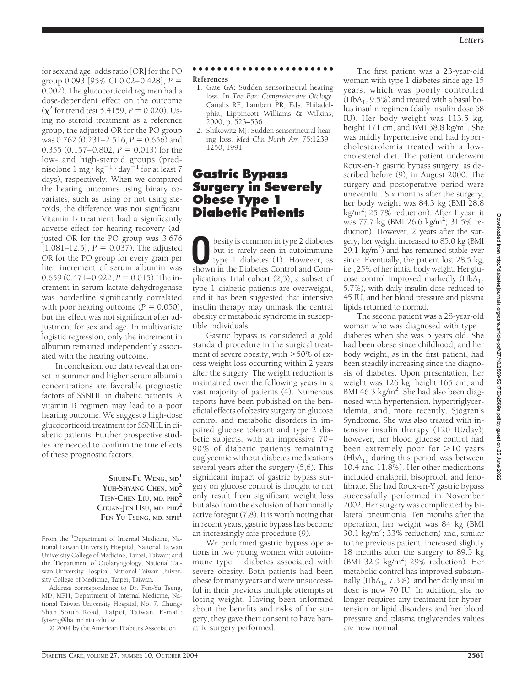for sex and age, odds ratio [OR] for the PO group 0.093 [95% CI 0.02–0.428], *P* 0.002). The glucocorticoid regimen had a dose-dependent effect on the outcome  $(\chi^2$  for trend test 5.4159,  $P = 0.020$ ). Using no steroid treatment as a reference group, the adjusted OR for the PO group was  $0.762$  (0.231–2.516,  $P = 0.656$ ) and 0.355 (0.157 $-0.802$ ,  $P = 0.013$ ) for the low- and high-steroid groups (prednisolone  $1 \text{ mg} \cdot \text{kg}^{-1} \cdot \text{day}^{-1}$  for at least 7 days), respectively. When we compared the hearing outcomes using binary covariates, such as using or not using steroids, the difference was not significant. Vitamin B treatment had a significantly adverse effect for hearing recovery (adjusted OR for the PO group was 3.676  $[1.081–12.5]$ ,  $P = 0.037$ ). The adjusted OR for the PO group for every gram per liter increment of serum albumin was  $0.659$  ( $0.471 - 0.922$ ,  $P = 0.015$ ). The increment in serum lactate dehydrogenase was borderline significantly correlated with poor hearing outcome  $(P = 0.050)$ , but the effect was not significant after adjustment for sex and age. In multivariate logistic regression, only the increment in albumin remained independently associated with the hearing outcome.

In conclusion, our data reveal that onset in summer and higher serum albumin concentrations are favorable prognostic factors of SSNHL in diabetic patients. A vitamin B regimen may lead to a poor hearing outcome. We suggest a high-dose glucocorticoid treatment for SSNHL in diabetic patients. Further prospective studies are needed to confirm the true effects of these prognostic factors.

### **SHUEN-FU WENG, MD<sup>1</sup> YUH-SHYANG CHEN, MD<sup>2</sup> TIEN-CHEN LIU, MD, PHD<sup>2</sup> CHUAN-JEN HSU, MD, PHD<sup>2</sup> FEN-YU TSENG, MD, MPH<sup>1</sup>**

From the <sup>1</sup>Department of Internal Medicine, National Taiwan University Hospital, National Taiwan University College of Medicine, Taipei, Taiwan; and the <sup>2</sup> Department of Otolaryngology, National Taiwan University Hospital, National Taiwan University College of Medicine, Taipei, Taiwan.

Address correspondence to Dr. Fen-Yu Tseng, MD, MPH, Department of Internal Medicine, National Taiwan University Hospital, No. 7, Chung-Shan South Road, Taipei, Taiwan. E-mail: fytseng@ha.mc.ntu.edu.tw.

© 2004 by the American Diabetes Association.

#### ●●●●●●●●●●●●●●●●●●●●●●●

#### **References**

- 1. Gate GA: Sudden sensorineural hearing loss. In *The Ear: Comprehensive Otology.* Canalis RF, Lambert PR, Eds. Philadelphia, Lippincott Williams & Wilkins, 2000, p. 523–536
- 2. Shikowitz MJ: Sudden sensorineural hearing loss. *Med Clin North Am* 75:1239– 1250, 1991

### **Gastric Bypass Surgery in Severely Obese Type 1 Diabetic Patients**

**O**besity is common in type 2 diabetes<br>type 1 diabetes (1). However, as<br>shown in the Diabetes Control and Combut is rarely seen in autoimmune shown in the Diabetes Control and Complications Trial cohort (2,3), a subset of type 1 diabetic patients are overweight, and it has been suggested that intensive insulin therapy may unmask the central obesity or metabolic syndrome in susceptible individuals.

Gastric bypass is considered a gold standard procedure in the surgical treatment of severe obesity, with  $>50\%$  of excess weight loss occurring within 2 years after the surgery. The weight reduction is maintained over the following years in a vast majority of patients (4). Numerous reports have been published on the beneficial effects of obesity surgery on glucose control and metabolic disorders in impaired glucose tolerant and type 2 diabetic subjects, with an impressive 70– 90% of diabetic patients remaining euglycemic without diabetes medications several years after the surgery (5,6). This significant impact of gastric bypass surgery on glucose control is thought to not only result from significant weight loss but also from the exclusion of hormonally active foregut (7,8). It is worth noting that in recent years, gastric bypass has become an increasingly safe procedure (9).

We performed gastric bypass operations in two young women with autoimmune type 1 diabetes associated with severe obesity. Both patients had been obese for many years and were unsuccessful in their previous multiple attempts at losing weight. Having been informed about the benefits and risks of the surgery, they gave their consent to have bariatric surgery performed.

The first patient was a 23-year-old woman with type 1 diabetes since age 15 years, which was poorly controlled  $(HbA<sub>1c</sub>, 9.5%)$  and treated with a basal bolus insulin regimen (daily insulin dose 68 IU). Her body weight was 113.5 kg, height 171 cm, and BMI 38.8 kg/m<sup>2</sup>. She was mildly hypertensive and had hypercholesterolemia treated with a lowcholesterol diet. The patient underwent Roux-en-Y gastric bypass surgery, as described before (9), in August 2000. The surgery and postoperative period were uneventful. Six months after the surgery, her body weight was 84.3 kg (BMI 28.8 kg/m2 ; 25.7% reduction). After 1 year, it was 77.7 kg (BMI 26.6 kg/m<sup>2</sup>; 31.5% reduction). However, 2 years after the surgery, her weight increased to 85.0 kg (BMI  $29.1 \text{ kg/m}^2$ ) and has remained stable ever since. Eventually, the patient lost 28.5 kg, i.e., 25% of her initial body weight. Her glucose control improved markedly  $(HbA_{1c})$ 5.7%), with daily insulin dose reduced to 45 IU, and her blood pressure and plasma lipids returned to normal.

The second patient was a 28-year-old woman who was diagnosed with type 1 diabetes when she was 5 years old. She had been obese since childhood, and her body weight, as in the first patient, had been steadily increasing since the diagnosis of diabetes. Upon presentation, her weight was 126 kg, height 165 cm, and BMI 46.3 kg/m<sup>2</sup>. She had also been diagnosed with hypertension, hypertriglyceridemia, and, more recently, Sjögren's Syndrome. She was also treated with intensive insulin therapy (120 IU/day); however, her blood glucose control had been extremely poor for  $>10$  years  $(HbA<sub>1c</sub>$  during this period was between 10.4 and 11.8%). Her other medications included enalapril, bisoprolol, and fenofibrate. She had Roux-en-Y gastric bypass successfully performed in November 2002. Her surgery was complicated by bilateral pneumonia. Ten months after the operation, her weight was 84 kg (BMI 30.1 kg/m<sup>2</sup>; 33% reduction) and, similar to the previous patient, increased slightly 18 months after the surgery to 89.5 kg (BMI 32.9 kg/m<sup>2</sup>; 29% reduction). Her metabolic control has improved substantially (Hb $A_{1c}$  7.3%), and her daily insulin dose is now 70 IU. In addition, she no longer requires any treatment for hypertension or lipid disorders and her blood pressure and plasma triglycerides values are now normal.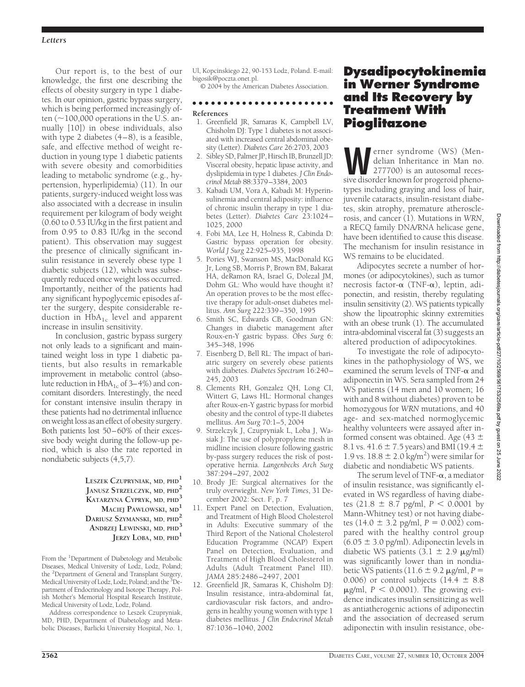Our report is, to the best of our knowledge, the first one describing the effects of obesity surgery in type 1 diabetes. In our opinion, gastric bypass surgery, which is being performed increasingly often  $(\sim$  100,000 operations in the U.S. annually [10]) in obese individuals, also with type 2 diabetes  $(4-8)$ , is a feasible, safe, and effective method of weight reduction in young type 1 diabetic patients with severe obesity and comorbidities leading to metabolic syndrome (e.g., hypertension, hyperlipidemia) (11). In our patients, surgery-induced weight loss was also associated with a decrease in insulin requirement per kilogram of body weight (0.60 to 0.53 IU/kg in the first patient and from 0.95 to 0.83 IU/kg in the second patient). This observation may suggest the presence of clinically significant insulin resistance in severely obese type 1 diabetic subjects (12), which was subsequently reduced once weight loss occurred. Importantly, neither of the patients had any significant hypoglycemic episodes after the surgery, despite considerable reduction in  $HbA_{1c}$  level and apparent increase in insulin sensitivity.

In conclusion, gastric bypass surgery not only leads to a significant and maintained weight loss in type 1 diabetic patients, but also results in remarkable improvement in metabolic control (absolute reduction in  $HbA_{1c}$  of 3–4%) and concomitant disorders. Interestingly, the need for constant intensive insulin therapy in these patients had no detrimental influence on weight loss as an effect of obesity surgery. Both patients lost 50–60% of their excessive body weight during the follow-up period, which is also the rate reported in nondiabetic subjects (4,5,7).

> **LESZEK CZUPRYNIAK, MD, PHD<sup>1</sup> JANUSZ STRZELCZYK, MD, PHD<sup>2</sup> KATARZYNA CYPRYK, MD, PHD<sup>3</sup> MACIEJ PAWLOWSKI, MD<sup>1</sup> DARIUSZ SZYMANSKI, MD, PHD<sup>2</sup> ANDRZEJ LEWINSKI, MD, PHD<sup>3</sup> JERZY LOBA, MD, PHD<sup>1</sup>**

From the <sup>1</sup>Department of Diabetology and Metabolic Diseases, Medical University of Lodz, Lodz, Poland; the <sup>2</sup> Department of General and Transplant Surgery, Medical University of Lodz, Lodz, Poland; and the <sup>3</sup>Department of Endocrinology and Isotope Therapy, Polish Mother's Memorial Hospital Research Institute, Medical University of Lodz, Lodz, Poland.

Address correspondence to Leszek Czupryniak, MD, PHD, Department of Diabetology and Metabolic Diseases, Barlicki University Hospital, No. 1, Ul, Kopcinskiego 22, 90-153 Lodz, Poland. E-mail: bigosik@poczta.onet.pl.

© 2004 by the American Diabetes Association.

#### ●●●●●●●●●●●●●●●●●●●●●●● **References**

- 1. Greenfield JR, Samaras K, Campbell LV, Chisholm DJ: Type 1 diabetes is not associated with increased central abdominal obesity (Letter). *Diabetes Care* 26:2703, 2003
- 2. Sibley SD, Palmer JP, Hirsch IB, Brunzell JD: Visceral obesity, hepatic lipase activity, and dyslipidemia in type 1 diabetes. *J Clin Endocrinol Metab* 88:3379–3384, 2003
- 3. Kabadi UM, Vora A, Kabadi M: Hyperinsulinemia and central adiposity: influence of chronic insulin therapy in type 1 diabetes (Letter). *Diabetes Care* 23:1024– 1025, 2000
- 4. Fobi MA, Lee H, Holness R, Cabinda D: Gastric bypass operation for obesity. *World J Surg* 22:925–935, 1998
- 5. Pories WJ, Swanson MS, MacDonald KG Jr, Long SB, Morris P, Brown BM, Bakarat HA, deRamon RA, Israel G, Dolezal JM, Dohm GL: Who would have thought it? An operation proves to be the most effective therapy for adult-onset diabetes mellitus. *Ann Surg* 222:339–350, 1995
- 6. Smith SC, Edwards CB, Goodman GN: Changes in diabetic management after Roux-en-Y gastric bypass. *Obes Surg* 6: 345–348, 1996
- 7. Eisenberg D, Bell RL: The impact of bariatric surgery on severely obese patients with diabetes. *Diabetes Spectrum* 16:240– 245, 2003
- 8. Clements RH, Gonzalez QH, Long CI, Wittert G, Laws HL: Hormonal changes after Roux-en-Y gastric bypass for morbid obesity and the control of type-II diabetes mellitus. *Am Surg* 70:1–5, 2004
- 9. Strzelczyk J, Czupryniak L, Loba J, Wasiak J: The use of polypropylene mesh in midline incision closure following gastric by-pass surgery reduces the risk of postoperative hernia. *Langenbecks Arch Surg* 387:294–297, 2002
- 10. Brody JE: Surgical alternatives for the truly overwieght. *New York Times*, 31 December 2002: Sect. F, p. 7
- 11. Expert Panel on Detection, Evaluation, and Treatment of High Blood Cholesterol in Adults: Executive summary of the Third Report of the National Cholesterol Education Programme (NCAP) Expert Panel on Detection, Evaluation, and Treatment of High Blood Cholesterol in Adults (Adult Treatment Panel III). *JAMA* 285:2486 –2497, 2001
- 12. Greenfield JR, Samaras K, Chisholm DJ: Insulin resistance, intra-abdominal fat, cardiovascular risk factors, and androgens in healthy young women with type 1 diabetes mellitus. *J Clin Endocrinol Metab* 87:1036–1040, 2002

# **Dysadipocytokinemia in Werner Syndrome and Its Recovery by Treatment With Pioglitazone**

erner syndrome (WS) (Mendelian Inheritance in Man no. 277700) is an autosomal recessive disorder known for progeroid phenotypes including graying and loss of hair, juvenile cataracts, insulin-resistant diabetes, skin atrophy, premature atherosclerosis, and cancer (1). Mutations in *WRN*, a RECQ family DNA/RNA helicase gene, have been identified to cause this disease. The mechanism for insulin resistance in WS remains to be elucidated.

Adipocytes secrete a number of hormones (or adipocytokines), such as tumor necrosis factor- $\alpha$  (TNF- $\alpha$ ), leptin, adiponectin, and resistin, thereby regulating insulin sensitivity (2). WS patients typically show the lipoatrophic skinny extremities with an obese trunk (1). The accumulated intra-abdominal visceral fat (3) suggests an altered production of adipocytokines.

To investigate the role of adipocytokines in the pathophysiology of WS, we examined the serum levels of TNF- $\alpha$  and adiponectin in WS. Sera sampled from 24 WS patients (14 men and 10 women; 16 with and 8 without diabetes) proven to be homozygous for *WRN* mutations, and 40 age- and sex-matched normoglycemic healthy volunteers were assayed after informed consent was obtained. Age (43  $\pm$ 8.1 vs. 41.6  $\pm$  7.5 years) and BMI (19.4  $\pm$ 1.9 vs.  $18.8 \pm 2.0$  kg/m<sup>2</sup>) were similar for diabetic and nondiabetic WS patients.

The serum level of TNF- $\alpha$ , a mediator of insulin resistance, was significantly elevated in WS regardless of having diabetes  $(21.8 \pm 8.7 \text{ pg/ml}, P < 0.0001 \text{ by})$ Mann-Whitney test) or not having diabetes  $(14.0 \pm 3.2 \text{ pg/ml}, P = 0.002) \text{ com}$ pared with the healthy control group  $(6.05 \pm 3.0 \text{ pg/ml})$ . Adiponectin levels in diabetic WS patients  $(3.1 \pm 2.9 \text{ }\mu\text{g/ml})$ was significantly lower than in nondiabetic WS patients  $(11.6 \pm 9.2 \,\mu\text{g/ml}, P =$ 0.006) or control subjects  $(14.4 \pm 8.8)$  $\mu$ g/ml,  $P < 0.0001$ ). The growing evidence indicates insulin sensitizing as well as antiatherogenic actions of adiponectin and the association of decreased serum adiponectin with insulin resistance, obe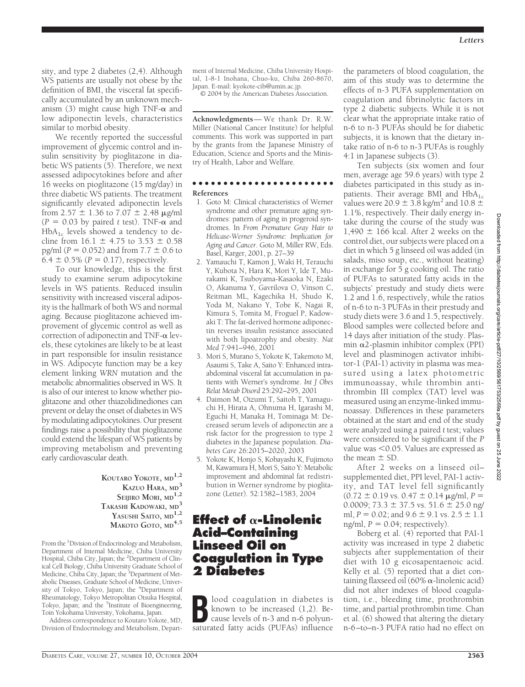sity, and type 2 diabetes (2,4). Although WS patients are usually not obese by the definition of BMI, the visceral fat specifically accumulated by an unknown mechanism (3) might cause high TNF- $\alpha$  and low adiponectin levels, characteristics similar to morbid obesity.

We recently reported the successful improvement of glycemic control and insulin sensitivity by pioglitazone in diabetic WS patients (5). Therefore, we next assessed adipocytokines before and after 16 weeks on pioglitazone (15 mg/day) in three diabetic WS patients. The treatment significantly elevated adiponectin levels from 2.57  $\pm$  1.36 to 7.07  $\pm$  2.48  $\mu$ g/ml  $(P = 0.03$  by paired *t* test). TNF- $\alpha$  and  $HbA_{1c}$  levels showed a tendency to decline from  $16.1 \pm 4.75$  to  $3.53 \pm 0.58$ pg/ml ( $P = 0.052$ ) and from  $7.7 \pm 0.6$  to  $6.4 \pm 0.5\%$  ( $P = 0.17$ ), respectively.

To our knowledge, this is the first study to examine serum adipocytokine levels in WS patients. Reduced insulin sensitivity with increased visceral adiposity is the hallmark of both WS and normal aging. Because pioglitazone achieved improvement of glycemic control as well as correction of adiponectin and TNF- $\alpha$  levels, these cytokines are likely to be at least in part responsible for insulin resistance in WS. Adipocyte function may be a key element linking *WRN* mutation and the metabolic abnormalities observed in WS. It is also of our interest to know whether pioglitazone and other thiazolidinediones can prevent or delay the onset of diabetes in WS by modulating adipocytokines. Our present findings raise a possibility that pioglitazone could extend the lifespan of WS patients by improving metabolism and preventing early cardiovascular death.

> **KOUTARO YOKOTE, MD1,2 KAZUO HARA, MD<sup>3</sup> SEIJIRO MORI, MD1,2 TAKASHI KADOWAKI, MD<sup>3</sup> YASUSHI SAITO, MD1,2 MAKOTO GOTO, MD4,5**

From the <sup>1</sup>Division of Endocrinology and Metabolism, Department of Internal Medicine, Chiba University Hospital, Chiba City, Japan; the <sup>2</sup>Department of Clinical Cell Biology, Chiba University Graduate School of Medicine, Chiba City, Japan; the <sup>3</sup>Department of Metabolic Diseases, Graduate School of Medicine, University of Tokyo, Tokyo, Japan; the <sup>4</sup>Department of Rheumatology, Tokyo Metropolitan Otsuka Hospital, Tokyo, Japan; and the <sup>5</sup>Institute of Bioengineering, Toin Yokohama University, Yokohama, Japan.

Address correspondence to Koutaro Yokote, MD, Division of Endocrinology and Metabolism, Depart-

ment of Internal Medicine, Chiba University Hospital, 1-8-1 Inohana, Chuo-ku, Chiba 260-8670, Japan. E-mail: kyokote-cib@umin.ac.jp.

© 2004 by the American Diabetes Association.

**Acknowledgments**— We thank Dr. R.W. Miller (National Cancer Institute) for helpful comments. This work was supported in part by the grants from the Japanese Ministry of Education, Science and Sports and the Ministry of Health, Labor and Welfare.

#### ●●●●●●●●●●●●●●●●●●●●●●●

#### **References**

- 1. Goto M: Clinical characteristics of Werner syndrome and other premature aging syndromes: pattern of aging in progeroid syndromes. In *From Premature Gray Hair to Helicase-Werner Syndrome: Implication for Aging and Cancer*. Goto M, Miller RW, Eds. Basel, Karger, 2001, p. 27–39
- 2. Yamauchi T, Kamon J, Waki H, Terauchi Y, Kubota N, Hara K, Mori Y, Ide T, Murakami K, Tsuboyama-Kasaoka N, Ezaki O, Akanuma Y, Gavrilova O, Vinson C, Reitman ML, Kagechika H, Shudo K, Yoda M, Nakano Y, Tobe K, Nagai R, Kimura S, Tomita M, Froguel P, Kadowaki T: The fat-derived hormone adiponectin reverses insulin resistance associated with both lipoatrophy and obesity. *Nat Med* 7:941–946, 2001
- 3. Mori S, Murano S, Yokote K, Takemoto M, Asaumi S, Take A, Saito Y: Enhanced intraabdominal visceral fat accumulation in patients with Werner's syndrome. *Int J Obes Relat Metab Disord* 25:292–295, 2001
- 4. Daimon M, Oizumi T, Saitoh T, Yamaguchi H, Hirata A, Ohnuma H, Igarashi M, Eguchi H, Manaka H, Tominaga M: Decreased serum levels of adiponectin are a risk factor for the progression to type 2 diabetes in the Japanese population. *Diabetes Care* 26:2015–2020, 2003
- 5. Yokote K, Honjo S, Kobayashi K, Fujimoto M, Kawamura H, Mori S, Saito Y: Metabolic improvement and abdominal fat redistribution in Werner syndrome by pioglitazone (Letter). 52:1582–1583, 2004

## **Effect of**  $\alpha$ **-Linolenic Acid–Containing Linseed Oil on Coagulation in Type 2 Diabetes**

lood coagulation in diabetes is known to be increased (1,2). Because levels of n*-*3 and n-6 polyunsaturated fatty acids (PUFAs) influence

the parameters of blood coagulation, the aim of this study was to determine the effects of n-3 PUFA supplementation on coagulation and fibrinolytic factors in type 2 diabetic subjects. While it is not clear what the appropriate intake ratio of n-6 to n-3 PUFAs should be for diabetic subjects, it is known that the dietary intake ratio of n-6 to n-3 PUFAs is roughly 4:1 in Japanese subjects (3).

Ten subjects (six women and four men, average age 59.6 years) with type 2 diabetes participated in this study as inpatients. Their average BMI and  $HbA_{1c}$ values were 20.9  $\pm$  3.8 kg/m<sup>2</sup> and 10.8  $\pm$ 1.1%, respectively. Their daily energy intake during the course of the study was  $1,490 \pm 166$  kcal. After 2 weeks on the control diet, our subjects were placed on a diet in which 5 g linseed oil was added (in salads, miso soup, etc., without heating) in exchange for 5 g cooking oil. The ratio of PUFAs to saturated fatty acids in the subjects' prestudy and study diets were 1.2 and 1.6, respectively, while the ratios of n-6 to n-3 PUFAs in their prestudy and study diets were 3.6 and 1.5, respectively. Blood samples were collected before and 14 days after initiation of the study. Plasmin  $\alpha$ 2-plasmin inhibitor complex (PPI) level and plasminogen activator inhibitor-1 (PAI-1) activity in plasma was measured using a latex photometric immunoassay, while thrombin antithrombin III complex (TAT) level was measured using an enzyme-linked immunoassay. Differences in these parameters obtained at the start and end of the study were analyzed using a paired *t* test; values were considered to be significant if the *P* value was  $\leq$  0.05. Values are expressed as the mean  $\pm$  SD.

After 2 weeks on a linseed oil– supplemented diet, PPI level, PAI-1 activity, and TAT level fell significantly  $(0.72 \pm 0.19 \text{ vs. } 0.47 \pm 0.14 \text{ µg/ml}, P =$ 0.0009; 73.3  $\pm$  37.5 vs. 51.6  $\pm$  25.0 ng/ ml,  $P = 0.02$ ; and  $9.6 \pm 9.1$  vs.  $2.5 \pm 1.1$ ng/ml,  $P = 0.04$ ; respectively).

Boberg et al. (4) reported that PAI-1 activity was increased in type 2 diabetic subjects after supplementation of their diet with 10 g eicosapentaenoic acid. Kelly et al. (5) reported that a diet containing flaxseed oil (60%  $\alpha$ -linolenic acid) did not alter indexes of blood coagulation, i.e., bleeding time, prothrombin time, and partial prothrombin time. Chan et al. (6) showed that altering the dietary n-6–to–n-3 PUFA ratio had no effect on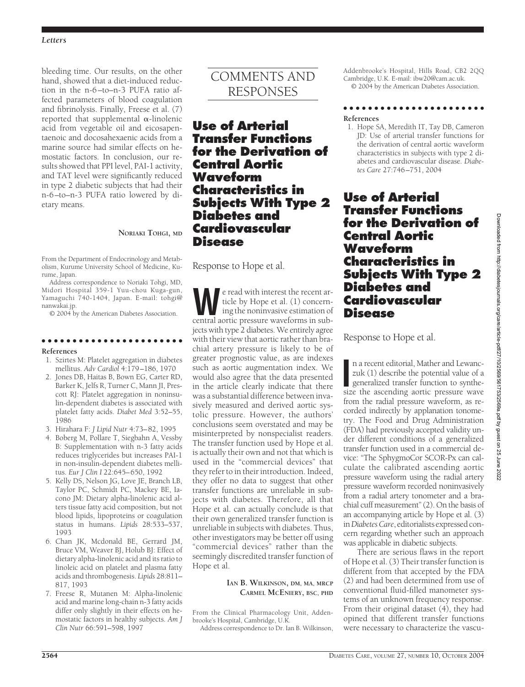### *Letters*

bleeding time. Our results, on the other hand, showed that a diet-induced reduction in the n-6–to–n-3 PUFA ratio affected parameters of blood coagulation and fibrinolysis. Finally, Freese et al. (7) reported that supplemental  $\alpha$ -linolenic acid from vegetable oil and eicosapentaenoic and docosahexaenic acids from a marine source had similar effects on hemostatic factors. In conclusion, our results showed that PPI level, PAI-1 activity, and TAT level were significantly reduced in type 2 diabetic subjects that had their n-6–to–n-3 PUFA ratio lowered by dietary means.

### **NORIAKI TOHGI, MD**

From the Department of Endocrinology and Metabolism, Kurume University School of Medicine, Kurume, Japan.

Address correspondence to Noriaki Tohgi, MD, Midori Hospital 359-1 Yuu-chou Kuga-gun, Yamaguchi 740-1404, Japan. E-mail: tohgi@ nanwakai.jp.

© 2004 by the American Diabetes Association.

●●●●●●●●●●●●●●●●●●●●●●●

#### **References**

- 1. Szirtes M: Platelet aggregation in diabetes mellitus. *Adv Cardiol* 4:179–186, 1970
- 2. Jones DB, Haitas B, Bown EG, Carter RD, Barker K, Jelfs R, Turner C, Mann JI, Prescott RJ: Platelet aggregation in noninsulin-dependent diabetes is associated with platelet fatty acids. *Diabet Med* 3:52–55, 1986
- 3. Hirahara F: *J Lipid Nutr* 4:73–82, 1995
- 4. Boberg M, Pollare T, Siegbahn A, Vessby B: Supplementation with n-3 fatty acids reduces triglycerides but increases PAI-1 in non-insulin-dependent diabetes mellitus. *Eur J Clin I* 22:645–650, 1992
- 5. Kelly DS, Nelson JG, Love JE, Branch LB, Taylor PC, Schmidt PC, Mackey BE, Iacono JM: Dietary alpha-linolenic acid alters tissue fatty acid composition, but not blood lipids, lipoproteins or coagulation status in humans. *Lipids* 28:533–537, 1993
- 6. Chan JK, Mcdonald BE, Gerrard JM, Bruce VM, Weaver BJ, Holub BJ: Effect of dietary alpha-linolenic acid and its ratio to linoleic acid on platelet and plasma fatty acids and thrombogenesis. *Lipids* 28:811– 817, 1993
- 7. Freese R, Mutanen M: Alpha-linolenic acid and marine long-chain n-3 fatty acids differ only slightly in their effects on hemostatic factors in healthy subjects. *Am J Clin Nutr* 66:591–598, 1997

# COMMENTS AND RESPONSES

**Use of Arterial Transfer Functions for the Derivation of Central Aortic Waveform Characteristics in Subjects With Type 2 Diabetes and Cardiovascular Disease**

Response to Hope et al.

e read with interest the recent ar-<br>ticle by Hope et al. (1) concern-<br>ing the noninvasive estimation of<br>central aortic pressure waveforms in subticle by Hope et al. (1) concerning the noninvasive estimation of central aortic pressure waveforms in subjects with type 2 diabetes. We entirely agree with their view that aortic rather than brachial artery pressure is likely to be of greater prognostic value, as are indexes such as aortic augmentation index. We would also agree that the data presented in the article clearly indicate that there was a substantial difference between invasively measured and derived aortic systolic pressure. However, the authors' conclusions seem overstated and may be misinterpreted by nonspecialist readers. The transfer function used by Hope et al. is actually their own and not that which is used in the "commercial devices" that they refer to in their introduction. Indeed, they offer no data to suggest that other transfer functions are unreliable in subjects with diabetes. Therefore, all that Hope et al. can actually conclude is that their own generalized transfer function is unreliable in subjects with diabetes. Thus, other investigators may be better off using "commercial devices" rather than the seemingly discredited transfer function of Hope et al.

#### **IAN B. WILKINSON, DM, MA, MRCP CARMEL MCENIERY, BSC, PHD**

From the Clinical Pharmacology Unit, Addenbrooke's Hospital, Cambridge, U.K.

Address correspondence to Dr. Ian B. Wilkinson,

Addenbrooke's Hospital, Hills Road, CB2 2QQ Cambridge, U.K. E-mail: ibw20@cam.ac.uk. © 2004 by the American Diabetes Association.

### ●●●●●●●●●●●●●●●●●●●●●●●

#### **References**

1. Hope SA, Meredith IT, Tay DB, Cameron JD: Use of arterial transfer functions for the derivation of central aortic waveform characteristics in subjects with type 2 diabetes and cardiovascular disease. *Diabetes Care* 27:746–751, 2004

## **Use of Arterial Transfer Functions for the Derivation of Central Aortic Waveform Characteristics in Subjects With Type 2 Diabetes and Cardiovascular Disease**

### Response to Hope et al.

n a recent editorial, Mather and Lewanczuk (1) describe the potential value of a generalized transfer function to synthesize the ascending aortic pressure wave n a recent editorial, Mather and Lewanczuk (1) describe the potential value of a generalized transfer function to synthefrom the radial pressure waveform, as recorded indirectly by applanation tonometry. The Food and Drug Administration (FDA) had previously accepted validity under different conditions of a generalized transfer function used in a commercial device: "The SphygmoCor SCOR-Px can calculate the calibrated ascending aortic pressure waveform using the radial artery pressure waveform recorded noninvasively from a radial artery tonometer and a brachial cuff measurement"(2). On the basis of an accompanying article by Hope et al. (3) in*Diabetes Care*, editorialists expressed concern regarding whether such an approach was applicable in diabetic subjects.

There are serious flaws in the report of Hope et al. (3) Their transfer function is different from that accepted by the FDA (2) and had been determined from use of conventional fluid-filled manometer systems of an unknown frequency response. From their original dataset (4), they had opined that different transfer functions were necessary to characterize the vascu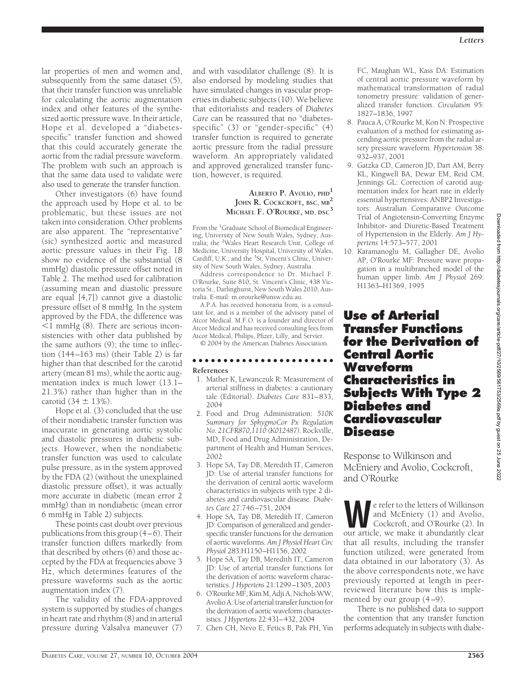lar properties of men and women and, subsequently from the same dataset (5), that their transfer function was unreliable for calculating the aortic augmentation index and other features of the synthesized aortic pressure wave. In their article, Hope et al. developed a "diabetesspecific" transfer function and showed that this could accurately generate the aortic from the radial pressure waveform. The problem with such an approach is that the same data used to validate were also used to generate the transfer function.

Other investigators (6) have found the approach used by Hope et al. to be problematic, but these issues are not taken into consideration. Other problems are also apparent. The "representative" (sic) synthesized aortic and measured aortic pressure values in their Fig. 1*B* show no evidence of the substantial (8 mmHg) diastolic pressure offset noted in Table 2. The method used for calibration (assuming mean and diastolic pressure are equal [4,7]) cannot give a diastolic pressure offset of 8 mmHg. In the system approved by the FDA, the difference was  $1$  mmHg  $(8)$ . There are serious inconsistencies with other data published by the same authors (9); the time to inflection (144–163 ms) (their Table 2) is far higher than that described for the carotid artery (mean 81 ms), while the aortic augmentation index is much lower (13.1– 21.3%) rather than higher than in the carotid  $(34 \pm 13\%)$ .

Hope et al. (3) concluded that the use of their nondiabetic transfer function was inaccurate in generating aortic systolic and diastolic pressures in diabetic subjects. However, when the nondiabetic transfer function was used to calculate pulse pressure, as in the system approved by the FDA (2) (without the unexplained diastolic pressure offset), it was actually more accurate in diabetic (mean error 2 mmHg) than in nondiabetic (mean error 6 mmHg in Table 2) subjects.

These points cast doubt over previous publications from this group (4–6). Their transfer function differs markedly from that described by others (6) and those accepted by the FDA at frequencies above 3 Hz, which determines features of the pressure waveforms such as the aortic augmentation index (7).

The validity of the FDA-approved system is supported by studies of changes in heart rate and rhythm (8) and in arterial pressure during Valsalva maneuver (7)

and with vasodilator challenge (8). It is also endorsed by modeling studies that have simulated changes in vascular properties in diabetic subjects (10). We believe that editorialists and readers of *Diabetes Care* can be reassured that no "diabetesspecific" (3) or "gender-specific" (4) transfer function is required to generate aortic pressure from the radial pressure waveform. An appropriately validated and approved generalized transfer function, however, is required.

### **ALBERTO P. AVOLIO, PHD<sup>1</sup> JOHN R. COCKCROFT**, BSC, MB<sup>2</sup> **MICHAEL F. O'ROURKE, MD, DSC<sup>3</sup>**

From the <sup>1</sup>Graduate School of Biomedical Engineering, University of New South Wales, Sydney, Australia; the <sup>2</sup> Wales Heart Research Unit, College of Medicine, University Hospital, University of Wales, Cardiff, U.K.; and the <sup>3</sup>St. Vincent's Clinic, University of New South Wales, Sydney, Australia.

Address correspondence to Dr. Michael F. O'Rourke, Suite 810, St. Vincent's Clinic, 438 Victoria St., Darlinghurst, New South Wales 2010, Australia. E-mail: m.orourke@unsw.edu.au.

A.P.A. has received honoraria from, is a consultant for, and is a member of the advisory panel of Atcor Medical. M.F.O. is a founder and director of Atcor Medical and has received consulting fees from Atcor Medical, Philips, Pfizer, Lilly, and Servier.

© 2004 by the American Diabetes Association.

### ●●●●●●●●●●●●●●●●●●●●●●●

#### **References**

- 1. Mather K, Lewanczuk R: Measurement of arterial stiffness in diabetes: a cautionary tale (Editorial). *Diabetes Care* 831–833, 2004
- 2. Food and Drug Administration: *510K Summary for SphygmoCor Px Regulation No. 21CFR870,1110 (K012487).* Rockville, MD, Food and Drug Administration, Department of Health and Human Services, 2002
- 3. Hope SA, Tay DB, Meredith IT, Cameron JD: Use of arterial transfer functions for the derivation of central aortic waveform characteristics in subjects with type 2 diabetes and cardiovascular disease. *Diabetes Care* 27:746–751, 2004
- 4. Hope SA, Tay DB, Meredith IT, Cameron JD: Comparison of generalized and genderspecific transfer functions for the derivation of aortic waveforms. *Am J Physiol Heart Circ Physiol* 283:H1150–H1156, 2002
- 5. Hope SA, Tay DB, Meredith IT, Cameron JD: Use of arterial transfer functions for the derivation of aortic waveform characteristics. *J Hypertens* 21:1299–1305, 2003
- 6. O'Rourke MF, Kim M, Adji A, Nichols WW, Avolio A: Use of arterial transfer function for the derivation of aortic waveform characteristics. *J Hypertens* 22:431–432, 2004
- 7. Chen CH, Nevo E, Fetics B, Pak PH, Yin

FC, Maughan WL, Kass DA: Estimation of central aortic pressure waveform by mathematical transformation of radial tonometry pressure: validation of generalized transfer function. *Circulation* 95: 1827–1836, 1997

- 8. Pauca A, O'Rourke M, Kon N: Prospective evaluation of a method for estimating ascending aortic pressure from the radial artery pressure waveform. *Hypertension* 38: 932–937, 2001
- 9. Gatzka CD, Cameron JD, Dart AM, Berry KL, Kingwell BA, Dewar EM, Reid CM, Jennings GL: Correction of carotid augmentation index for heart rate in elderly essential hypertensives: ANBP2 Investigators: Australian Comparative Outcome Trial of Angiotensin-Converting Enzyme Inhibitor- and Diuretic-Based Treatment of Hypertension in the Elderly. *Am J Hypertens* 14:573–577, 2001
- 10. Karamanoglu M, Gallagher DE, Avolio AP, O'Rourke MF: Pressure wave propagation in a multibranched model of the human upper limb. *Am J Physiol* 269: H1363–H1369, 1995

# **Use of Arterial Transfer Functions for the Derivation of Central Aortic Waveform Characteristics in Subjects With Type 2 Diabetes and Cardiovascular Disease**

Response to Wilkinson and McEniery and Avolio, Cockcroft, and O'Rourke

**We refer to the letters of Wilkinson**<br>and McEniery (1) and Avolio,<br>Cockcroft, and O'Rourke (2). In and McEniery (1) and Avolio, Cockcroft, and O'Rourke (2). In our article, we make it abundantly clear that all results, including the transfer function utilized, were generated from data obtained in our laboratory (3). As the above correspondents note, we have previously reported at length in peerreviewed literature how this is implemented by our group  $(4-9)$ .

There is no published data to support the contention that any transfer function performs adequately in subjects with diabe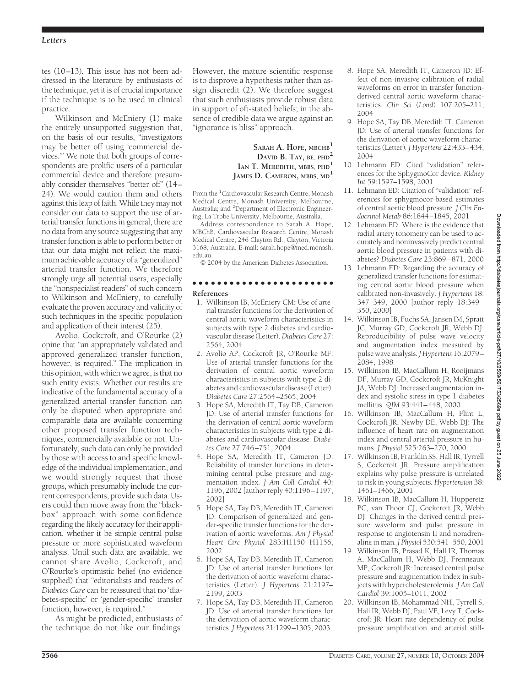tes (10–13). This issue has not been addressed in the literature by enthusiasts of the technique, yet it is of crucial importance if the technique is to be used in clinical practice.

Wilkinson and McEniery (1) make the entirely unsupported suggestion that, on the basis of our results, "investigators may be better off using 'commercial devices.'" We note that both groups of correspondents are prolific users of a particular commercial device and therefore presumably consider themselves "better off" (14– 24). We would caution them and others against this leap of faith. While they may not consider our data to support the use of arterial transfer functions in general, there are no data from any source suggesting that any transfer function is able to perform better or that our data might not reflect the maximum achievable accuracy of a "generalized" arterial transfer function. We therefore strongly urge all potential users, especially the "nonspecialist readers" of such concern to Wilkinson and McEniery, to carefully evaluate the proven accuracy and validity of such techniques in the specific population and application of their interest (25).

Avolio, Cockcroft, and O'Rourke (2) opine that "an appropriately validated and approved generalized transfer function, however, is required." The implication in this opinion, with which we agree, is that no such entity exists. Whether our results are indicative of the fundamental accuracy of a generalized arterial transfer function can only be disputed when appropriate and comparable data are available concerning other proposed transfer function techniques, commercially available or not. Unfortunately, such data can only be provided by those with access to and specific knowledge of the individual implementation, and we would strongly request that those groups, which presumably include the current correspondents, provide such data. Users could then move away from the "blackbox" approach with some confidence regarding the likely accuracy for their application, whether it be simple central pulse pressure or more sophisticated waveform analysis. Until such data are available, we cannot share Avolio, Cockcroft, and O'Rourke's optimistic belief (no evidence supplied) that "editorialists and readers of *Diabetes Care* can be reassured that no 'diabetes-specific' or 'gender-specific' transfer function, however, is required."

As might be predicted, enthusiasts of the technique do not like our findings.

However, the mature scientific response is to disprove a hypothesis rather than assign discredit (2). We therefore suggest that such enthusiasts provide robust data in support of oft-stated beliefs; in the absence of credible data we argue against an "ignorance is bliss" approach.

### **SARAH A. HOPE, MBCHB<sup>1</sup> DAVID B. TAY, BE, PHD<sup>2</sup> IAN T. MEREDITH, MBBS, PHD<sup>1</sup> JAMES D. CAMERON, MBBS, MD<sup>1</sup>**

From the <sup>1</sup>Cardiovascular Research Centre, Monash Medical Centre, Monash University, Melbourne, Australia; and <sup>2</sup> Department of Electronic Engineering, La Trobe University, Melbourne, Australia.

Address correspondence to Sarah A. Hope, MBChB, Cardiovascular Research Centre, Monash Medical Centre, 246 Clayton Rd., Clayton, Victoria 3168, Australia. E-mail: sarah.hope@med.monash. edu.au.

© 2004 by the American Diabetes Association.

#### ●●●●●●●●●●●●●●●●●●●●●●●

#### **References**

- 1. Wilkinson IB, McEniery CM: Use of arterial transfer functions for the derivation of central aortic waveform characteristics in subjects with type 2 diabetes and cardiovascular disease (Letter).*Diabetes Care* 27: 2564, 2004
- 2. Avolio AP, Cockcroft JR, O'Rourke MF: Use of arterial transfer functions for the derivation of central aortic waveform characteristics in subjects with type 2 diabetes and cardiovascular disease (Letter). *Diabetes Care* 27:2564–2565, 2004
- 3. Hope SA, Meredith IT, Tay DB, Cameron JD: Use of arterial transfer functions for the derivation of central aortic waveform characteristics in subjects with type 2 diabetes and cardiovascular disease*. Diabetes Care* 27:746–751, 2004
- 4. Hope SA, Meredith IT, Cameron JD: Reliability of transfer functions in determining central pulse pressure and augmentation index*. J Am Coll Cardiol* 40: 1196, 2002 [author reply 40:1196–1197, 2002]
- 5. Hope SA, Tay DB, Meredith IT, Cameron JD: Comparison of generalized and gender-specific transfer functions for the derivation of aortic waveforms. *Am J Physiol Heart Circ Physiol* 283:H1150–H1156, 2002
- 6. Hope SA, Tay DB, Meredith IT, Cameron JD: Use of arterial transfer functions for the derivation of aortic waveform characteristics (Letter)*. J Hypertens* 21:2197– 2199, 2003
- 7. Hope SA, Tay DB, Meredith IT, Cameron JD: Use of arterial transfer functions for the derivation of aortic waveform characteristics*. J Hypertens* 21:1299–1305, 2003
- 8. Hope SA, Meredith IT, Cameron JD: Effect of non-invasive calibration of radial waveforms on error in transfer functionderived central aortic waveform characteristics*. Clin Sci* (*Lond*) 107:205–211, 2004
- 9. Hope SA, Tay DB, Meredith IT, Cameron JD: Use of arterial transfer functions for the derivation of aortic waveform characteristics (Letter)*. J Hypertens* 22:433–434, 2004
- 10. Lehmann ED: Cited "validation" references for the SphygmoCor device. *Kidney Int* 59:1597–1598, 2001
- 11. Lehmann ED: Citation of "validation" references for sphygmocor-based estimates of central aortic blood pressure*. J Clin Endocrinol Metab* 86:1844–1845, 2001
- 12. Lehmann ED: Where is the evidence that radial artery tonometry can be used to accurately and noninvasively predict central aortic blood pressure in patients with diabetes? *Diabetes Care* 23:869–871, 2000
- 13. Lehmann ED: Regarding the accuracy of generalized transfer functions for estimating central aortic blood pressure when calibrated non-invasively. *J Hypertens* 18: 347–349, 2000 [author reply 18:349– 350, 2000]
- 14. Wilkinson IB, Fuchs SA, Jansen IM, Spratt JC, Murray GD, Cockcroft JR, Webb DJ: Reproducibility of pulse wave velocity and augmentation index measured by pulse wave analysis*. J Hypertens* 16:2079– 2084, 1998
- 15. Wilkinson IB, MacCallum H, Rooijmans DF, Murray GD, Cockcroft JR, McKnight JA, Webb DJ: Increased augmentation index and systolic stress in type 1 diabetes mellitus. *QJM* 93:441–448, 2000
- 16. Wilkinson IB, MacCallum H, Flint L, Cockcroft JR, Newby DE, Webb DJ: The influence of heart rate on augmentation index and central arterial pressure in humans*. J Physiol* 525:263–270, 2000
- 17. Wilkinson IB, Franklin SS, Hall IR, Tyrrell S, Cockcroft JR: Pressure amplification explains why pulse pressure is unrelated to risk in young subjects*. Hypertension* 38: 1461–1466, 2001
- 18. Wilkinson IB, MacCallum H, Hupperetz PC, van Thoor CJ, Cockcroft JR, Webb DJ: Changes in the derived central pressure waveform and pulse pressure in response to angiotensin II and noradrenaline in man*. J Physiol* 530:541–550, 2001
- 19. Wilkinson IB, Prasad K, Hall IR, Thomas A, MacCallum H, Webb DJ, Frenneaux MP, Cockcroft JR: Increased central pulse pressure and augmentation index in subjects with hypercholesterolemia. *J Am Coll Cardiol* 39:1005–1011, 2002
- 20. Wilkinson IB, Mohammad NH, Tyrrell S, Hall IR, Webb DJ, Paul VE, Levy T, Cockcroft JR: Heart rate dependency of pulse pressure amplification and arterial stiff-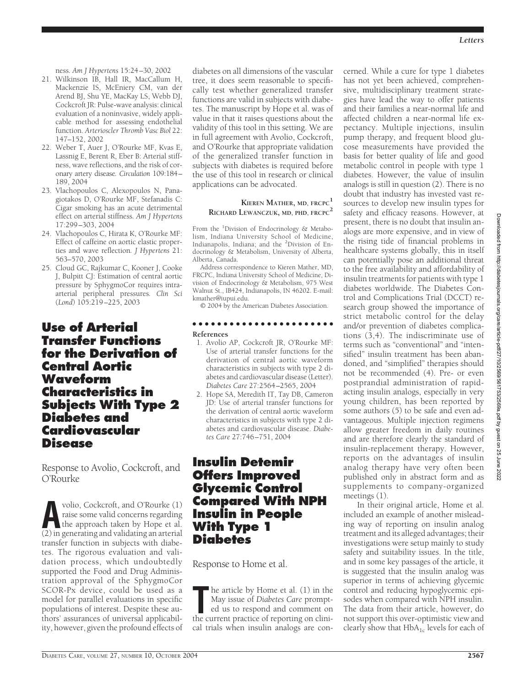ness*. Am J Hypertens* 15:24–30, 2002

- 21. Wilkinson IB, Hall IR, MacCallum H, Mackenzie IS, McEniery CM, van der Arend BJ, Shu YE, MacKay LS, Webb DJ, Cockcroft JR: Pulse-wave analysis: clinical evaluation of a noninvasive, widely applicable method for assessing endothelial function. *Arterioscler Thromb Vasc Biol* 22: 147–152, 2002
- 22. Weber T, Auer J, O'Rourke MF, Kvas E, Lassnig E, Berent R, Eber B: Arterial stiffness, wave reflections, and the risk of coronary artery disease*. Circulation* 109:184– 189, 2004
- 23. Vlachopoulos C, Alexopoulos N, Panagiotakos D, O'Rourke MF, Stefanadis C: Cigar smoking has an acute detrimental effect on arterial stiffness*. Am J Hypertens* 17:299–303, 2004
- 24. Vlachopoulos C, Hirata K, O'Rourke MF: Effect of caffeine on aortic elastic properties and wave reflection*. J Hypertens* 21: 563–570, 2003
- 25. Cloud GC, Rajkumar C, Kooner J, Cooke J, Bulpitt CJ: Estimation of central aortic pressure by SphygmoCor requires intraarterial peripheral pressures*. Clin Sci* (*Lond*) 105:219–225, 2003

### **Use of Arterial Transfer Functions for the Derivation of Central Aortic Waveform Characteristics in Subjects With Type 2 Diabetes and Cardiovascular Disease**

Response to Avolio, Cockcroft, and O'Rourke

volio, Cockcroft, and O'Rourke (1)<br>
the approach taken by Hope et al.<br>
(2) in generating and validating an arterial raise some valid concerns regarding (2) in generating and validating an arterial transfer function in subjects with diabetes. The rigorous evaluation and validation process, which undoubtedly supported the Food and Drug Administration approval of the SphygmoCor SCOR-Px device, could be used as a model for parallel evaluations in specific populations of interest. Despite these authors' assurances of universal applicability, however, given the profound effects of

diabetes on all dimensions of the vascular tree, it does seem reasonable to specifically test whether generalized transfer functions are valid in subjects with diabetes. The manuscript by Hope et al. was of value in that it raises questions about the validity of this tool in this setting. We are in full agreement with Avolio, Cockcroft, and O'Rourke that appropriate validation of the generalized transfer function in subjects with diabetes is required before the use of this tool in research or clinical applications can be advocated.

#### **KIEREN MATHER, MD, FRCPC<sup>1</sup> RICHARD LEWANCZUK, MD, PHD, FRCPC<sup>2</sup>**

From the <sup>1</sup>Division of Endocrinology & Metabolism, Indiana University School of Medicine, Indianapolis, Indiana; and the <sup>2</sup> Division of Endocrinology & Metabolism, University of Alberta, Alberta, Canada.

Address correspondence to Kieren Mather, MD, FRCPC, Indiana University School of Medicine, Division of Endocrinology & Metabolism, 975 West Walnut St., IB424, Indianapolis, IN 46202. E-mail: kmather@iupui.edu.

© 2004 by the American Diabetes Association.

#### ●●●●●●●●●●●●●●●●●●●●●●● **References**

- 1. Avolio AP, Cockcroft JR, O'Rourke MF: Use of arterial transfer functions for the derivation of central aortic waveform characteristics in subjects with type 2 diabetes and cardiovascular disease (Letter). *Diabetes Care* 27:2564–2565, 2004
- 2. Hope SA, Meredith IT, Tay DB, Cameron JD: Use of arterial transfer functions for the derivation of central aortic waveform characteristics in subjects with type 2 diabetes and cardiovascular disease. *Diabetes Care* 27:746–751, 2004

### **Insulin Detemir Offers Improved Glycemic Control Compared With NPH Insulin in People With Type 1 Diabetes**

Response to Home et al.

The article by Home et al. (1) in the May issue of *Diabetes Care* prompted us to respond and comment on the current practice of reporting on clini- $\blacksquare$  he article by Home et al. (1) in the May issue of *Diabetes Care* prompted us to respond and comment on cal trials when insulin analogs are concerned. While a cure for type 1 diabetes has not yet been achieved, comprehensive, multidisciplinary treatment strategies have lead the way to offer patients and their families a near-normal life and affected children a near-normal life expectancy. Multiple injections, insulin pump therapy, and frequent blood glucose measurements have provided the basis for better quality of life and good metabolic control in people with type 1 diabetes. However, the value of insulin analogs is still in question (2). There is no doubt that industry has invested vast resources to develop new insulin types for safety and efficacy reasons. However, at present, there is no doubt that insulin analogs are more expensive, and in view of the rising tide of financial problems in healthcare systems globally, this in itself can potentially pose an additional threat to the free availability and affordability of insulin treatments for patients with type 1 diabetes worldwide. The Diabetes Control and Complications Trial (DCCT) research group showed the importance of strict metabolic control for the delay and/or prevention of diabetes complications  $(3,4)$ . The indiscriminate use of terms such as "conventional" and "intensified" insulin treatment has been abandoned, and "simplified" therapies should not be recommended (4). Pre- or even postprandial administration of rapidacting insulin analogs, especially in very young children, has been reported by some authors (5) to be safe and even advantageous. Multiple injection regimens allow greater freedom in daily routines and are therefore clearly the standard of insulin-replacement therapy. However, reports on the advantages of insulin analog therapy have very often been published only in abstract form and as supplements to company-organized meetings (1).

In their original article, Home et al. included an example of another misleading way of reporting on insulin analog treatment and its alleged advantages; their investigations were setup mainly to study safety and suitability issues. In the title, and in some key passages of the article, it is suggested that the insulin analog was superior in terms of achieving glycemic control and reducing hypoglycemic episodes when compared with NPH insulin. The data from their article, however, do not support this over-optimistic view and clearly show that  $HbA_{1c}$  levels for each of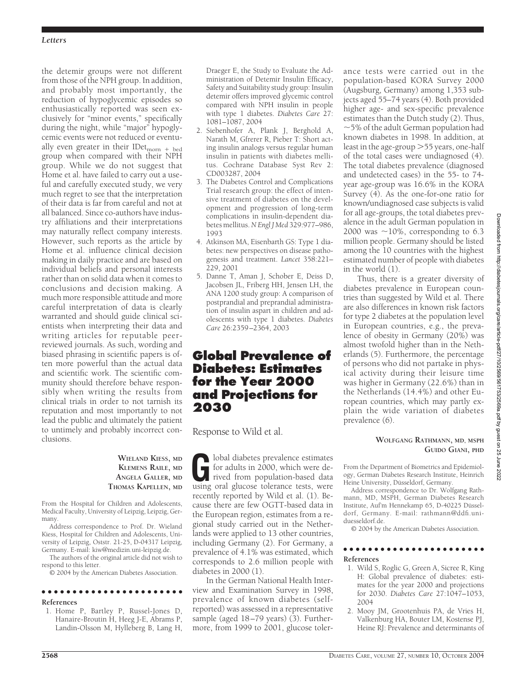the detemir groups were not different from those of the NPH group. In addition, and probably most importantly, the reduction of hypoglycemic episodes so enthusiastically reported was seen exclusively for "minor events," specifically during the night, while "major" hypoglycemic events were not reduced or eventually even greater in their  $\text{IDet}_{\text{mom } + \text{ bed}}$ group when compared with their NPH group. While we do not suggest that Home et al. have failed to carry out a useful and carefully executed study, we very much regret to see that the interpretation of their data is far from careful and not at all balanced. Since co-authors have industry affiliations and their interpretations may naturally reflect company interests. However, such reports as the article by Home et al. influence clinical decision making in daily practice and are based on individual beliefs and personal interests rather than on solid data when it comes to conclusions and decision making. A much more responsible attitude and more careful interpretation of data is clearly warranted and should guide clinical scientists when interpreting their data and writing articles for reputable peerreviewed journals. As such, wording and biased phrasing in scientific papers is often more powerful than the actual data and scientific work. The scientific community should therefore behave responsibly when writing the results from clinical trials in order to not tarnish its reputation and most importantly to not lead the public and ultimately the patient to untimely and probably incorrect conclusions.

#### **WIELAND KIESS, MD KLEMENS RAILE, MD ANGELA GALLER, MD THOMAS KAPELLEN, MD**

From the Hospital for Children and Adolescents, Medical Faculty, University of Leipzig, Leipzig, Germany.

Address correspondence to Prof. Dr. Wieland Kiess, Hospital for Children and Adolescents, University of Leipzig, Oststr. 21-25, D-04317 Leipzig, Germany. E-mail: kiw@medizin.uni-leipzig.de.

The authors of the original article did not wish to respond to this letter.

© 2004 by the American Diabetes Association.

#### ●●●●●●●●●●●●●●●●●●●●●●● **References**

1. Home P, Bartley P, Russel-Jones D, Hanaire-Broutin H, Heeg J-E, Abrams P, Landin-Olsson M, Hylleberg B, Lang H, Draeger E, the Study to Evaluate the Administration of Detemir Insulin Efficacy, Safety and Suitability study group: Insulin detemir offers improved glycemic control compared with NPH insulin in people with type 1 diabetes. *Diabetes Care* 27: 1081–1087, 2004

- 2. Siebenhofer A, Plank J, Berghold A, Narath M, Gfrerer R, Pieber T: Short acting insulin analogs versus regular human insulin in patients with diabetes mellitus. Cochrane Database Syst Rev 2: CD003287, 2004
- 3. The Diabetes Control and Complications Trial research group: the effect of intensive treatment of diabetes on the development and progression of long-term complications in insulin-dependent diabetes mellitus.*N Engl J Med* 329:977–986, 1993
- 4. Atkinson MA, Eisenbarth GS: Type 1 diabetes: new perspectives on disease pathogenesis and treatment. *Lancet* 358:221– 229, 2001
- 5. Danne T, Aman J, Schober E, Deiss D, Jacobsen JL, Friberg HH, Jensen LH, the ANA 1200 study group: A comparison of postprandial and preprandial administration of insulin aspart in children and adolescents with type 1 diabetes. *Diabetes Care* 26:2359–2364, 2003

### **Global Prevalence of Diabetes: Estimates for the Year 2000 and Projections for 2030**

Response to Wild et al.

**G**lobal diabetes prevalence estimates<br>for adults in 2000, which were de-<br>rived from population-based data<br>using oral glucose tolerance tests, were for adults in 2000, which were deusing oral glucose tolerance tests, were recently reported by Wild et al. (1). Because there are few OGTT-based data in the European region, estimates from a regional study carried out in the Netherlands were applied to 13 other countries, including Germany (2). For Germany, a prevalence of 4.1% was estimated, which corresponds to 2.6 million people with diabetes in 2000 (1).

In the German National Health Interview and Examination Survey in 1998, prevalence of known diabetes (selfreported) was assessed in a representative sample (aged 18–79 years) (3). Furthermore, from 1999 to 2001, glucose tolerance tests were carried out in the population-based KORA Survey 2000 (Augsburg, Germany) among 1,353 subjects aged 55–74 years (4). Both provided higher age- and sex-specific prevalence estimates than the Dutch study (2). Thus,  $~\sim$  5% of the adult German population had known diabetes in 1998. In addition, at least in the age-group  $>55$  years, one-half of the total cases were undiagnosed (4). The total diabetes prevalence (diagnosed and undetected cases) in the 55- to 74 year age-group was 16.6% in the KORA Survey  $(4)$ . As the one-for-one ratio for known/undiagnosed case subjects is valid for all age-groups, the total diabetes prevalence in the adult German population in 2000 was  $\sim$ 10%, corresponding to 6.3 million people. Germany should be listed among the 10 countries with the highest estimated number of people with diabetes in the world (1).

Thus, there is a greater diversity of diabetes prevalence in European countries than suggested by Wild et al. There are also differences in known risk factors for type 2 diabetes at the population level in European countries, e.g., the prevalence of obesity in Germany (20%) was almost twofold higher than in the Netherlands (5). Furthermore, the percentage of persons who did not partake in physical activity during their leisure time was higher in Germany (22.6%) than in the Netherlands (14.4%) and other European countries, which may partly explain the wide variation of diabetes prevalence (6).

### **WOLFGANG RATHMANN, MD, MSPH GUIDO GIANI, PHD**

From the Department of Biometrics and Epidemiology, German Diabetes Research Institute, Heinrich Heine University, Düsseldorf, Germany.

Address correspondence to Dr. Wolfgang Rathmann, MD, MSPH, German Diabetes Research Institute, Auf'm Hennekamp 65, D-40225 Düsseldorf, Germany. E-mail: rathmann@ddfi.uniduesseldorf.de.

© 2004 by the American Diabetes Association.

### ●●●●●●●●●●●●●●●●●●●●●●● **References**

- 1. Wild S, Roglic G, Green A, Sicree R, King H: Global prevalence of diabetes: estimates for the year 2000 and projections for 2030. *Diabetes Care* 27:1047–1053, 2004
- 2. Mooy JM, Grootenhuis PA, de Vries H, Valkenburg HA, Bouter LM, Kostense PJ, Heine RJ: Prevalence and determinants of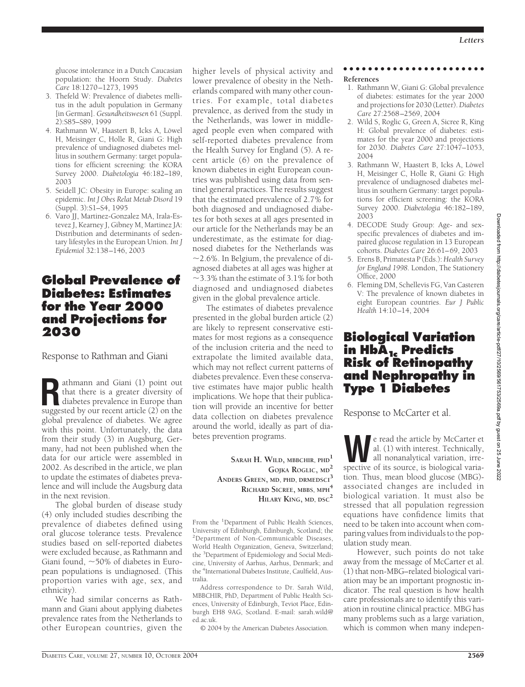glucose intolerance in a Dutch Caucasian population: the Hoorn Study. *Diabetes Care* 18:1270–1273, 1995

- 3. Thefeld W: Prevalence of diabetes mellitus in the adult population in Germany [in German]. *Gesundheitswesen* 61 (Suppl. 2):S85–S89, 1999
- 4. Rathmann W, Haastert B, Icks A, Löwel H, Meisinger C, Holle R, Giani G: High prevalence of undiagnosed diabetes mellitus in southern Germany: target populations for efficient screening: the KORA Survey 2000. *Diabetologia* 46:182–189, 2003
- 5. Seidell JC: Obesity in Europe: scaling an epidemic. *Int J Obes Relat Metab Disord* 19 (Suppl. 3):S1–S4, 1995
- 6. Varo JJ, Martinez-Gonzalez MA, Irala-Estevez J, Kearney J, Gibney M, Martinez JA: Distribution and determinants of sedentary lifestyles in the European Union. *Int J Epidemiol* 32:138–146, 2003

# **Global Prevalence of Diabetes: Estimates for the Year 2000 and Projections for 2030**

Response to Rathman and Giani

**Rathmann and Giani (1) point out**<br>that there is a greater diversity of<br>diabetes prevalence in Europe than<br>suggested by our recent article (2) on the that there is a greater diversity of suggested by our recent article (2) on the global prevalence of diabetes. We agree with this point. Unfortunately, the data from their study (3) in Augsburg, Germany, had not been published when the data for our article were assembled in 2002. As described in the article, we plan to update the estimates of diabetes prevalence and will include the Augsburg data in the next revision.

The global burden of disease study (4) only included studies describing the prevalence of diabetes defined using oral glucose tolerance tests. Prevalence studies based on self-reported diabetes were excluded because, as Rathmann and Giani found,  $\sim$  50% of diabetes in European populations is undiagnosed. (This proportion varies with age, sex, and ethnicity).

We had similar concerns as Rathmann and Giani about applying diabetes prevalence rates from the Netherlands to other European countries, given the higher levels of physical activity and lower prevalence of obesity in the Netherlands compared with many other countries. For example, total diabetes prevalence, as derived from the study in the Netherlands, was lower in middleaged people even when compared with self-reported diabetes prevalence from the Health Survey for England (5). A recent article (6) on the prevalence of known diabetes in eight European countries was published using data from sentinel general practices. The results suggest that the estimated prevalence of 2.7% for both diagnosed and undiagnosed diabetes for both sexes at all ages presented in our article for the Netherlands may be an underestimate, as the estimate for diagnosed diabetes for the Netherlands was  $\sim$ 2.6%. In Belgium, the prevalence of diagnosed diabetes at all ages was higher at  $\sim$ 3.3% than the estimate of 3.1% for both diagnosed and undiagnosed diabetes given in the global prevalence article.

The estimates of diabetes prevalence presented in the global burden article (2) are likely to represent conservative estimates for most regions as a consequence of the inclusion criteria and the need to extrapolate the limited available data, which may not reflect current patterns of diabetes prevalence. Even these conservative estimates have major public health implications. We hope that their publication will provide an incentive for better data collection on diabetes prevalence around the world, ideally as part of diabetes prevention programs.

> **SARAH H. WILD, MBBCHIR, PHD<sup>1</sup> GOJKA ROGLIC, MD<sup>2</sup> ANDERS GREEN, MD, PHD, DRMEDSCI<sup>3</sup> RICHARD SICREE, MBBS, MPH<sup>4</sup> HILARY KING, MD, DSC<sup>2</sup>**

From the <sup>1</sup>Department of Public Health Sciences, University of Edinburgh, Edinburgh, Scotland; the 2 Department of Non-Communicable Diseases, World Health Organization, Geneva, Switzerland; the <sup>3</sup> Department of Epidemiology and Social Medicine, University of Aarhus, Aarhus, Denmark; and the <sup>4</sup>International Diabetes Institute, Caulfield, Australia.

Address correspondence to Dr. Sarah Wild, MBBCHIR, PhD, Department of Public Health Sciences, University of Edinburgh, Teviot Place, Edinburgh EH8 9AG, Scotland. E-mail: sarah.wild@ ed.ac.uk.

© 2004 by the American Diabetes Association.

#### ●●●●●●●●●●●●●●●●●●●●●●● **References**

- 1. Rathmann W, Giani G: Global prevalence of diabetes: estimates for the year 2000 and projections for 2030 (Letter).*Diabetes Care* 27:2568–2569, 2004
- 2. Wild S, Roglic G, Green A, Sicree R, King H: Global prevalence of diabetes: estimates for the year 2000 and projections for 2030. *Diabetes Care* 27:1047–1053, 2004
- 3. Rathmann W, Haastert B, Icks A, Löwel H, Meisinger C, Holle R, Giani G: High prevalence of undiagnosed diabetes mellitus in southern Germany: target populations for efficient screening: the KORA Survey 2000. *Diabetologia* 46:182–189, 2003
- 4. DECODE Study Group: Age- and sexspecific prevalences of diabetes and impaired glucose regulation in 13 European cohorts. *Diabetes Care* 26:61–69, 2003
- 5. Erens B, Primatesta P (Eds.):*Health Survey for England 1998*. London, The Stationery Office, 2000
- 6. Fleming DM, Schellevis FG, Van Casteren V: The prevalence of known diabetes in eight European countries. *Eur J Public Health* 14:10–14, 2004

# **Biological Variation in HbA1c Predicts Risk of Retinopathy and Nephropathy in Type 1 Diabetes**

Response to McCarter et al.

**We** read the article by McCarter et al. (1) with interest. Technically, all nonanalytical variation, irreal. (1) with interest. Technically, spective of its source, is biological variation. Thus, mean blood glucose (MBG) associated changes are included in biological variation. It must also be stressed that all population regression equations have confidence limits that need to be taken into account when comparing values from individuals to the population study mean.

However, such points do not take away from the message of McCarter et al. (1) that non-MBG–related biological variation may be an important prognostic indicator. The real question is how health care professionals are to identify this variation in routine clinical practice. MBG has many problems such as a large variation, which is common when many indepen